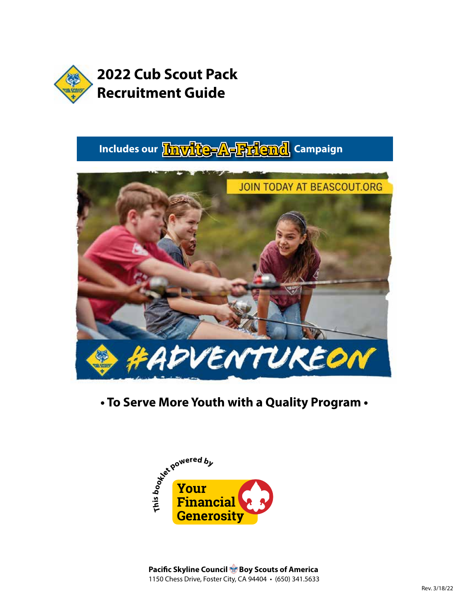

# **Includes our Invite-A-Friend** Campaign



## **• To Serve More Youth with a Quality Program •**



**Pacific Skyline Council Boy Scouts of America** 1150 Chess Drive, Foster City, CA 94404 • (650) 341.5633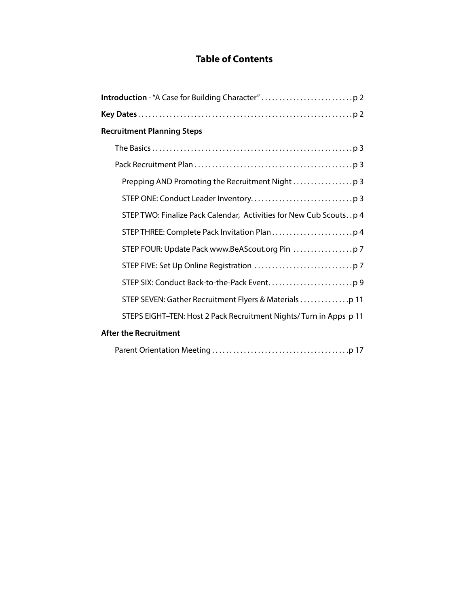## **Table of Contents**

| <b>Recruitment Planning Steps</b>                                  |
|--------------------------------------------------------------------|
|                                                                    |
|                                                                    |
|                                                                    |
|                                                                    |
| STEP TWO: Finalize Pack Calendar, Activities for New Cub Scoutsp 4 |
|                                                                    |
|                                                                    |
|                                                                    |
|                                                                    |
|                                                                    |
| STEPS EIGHT-TEN: Host 2 Pack Recruitment Nights/Turn in Apps p 11  |
| <b>After the Recruitment</b>                                       |
|                                                                    |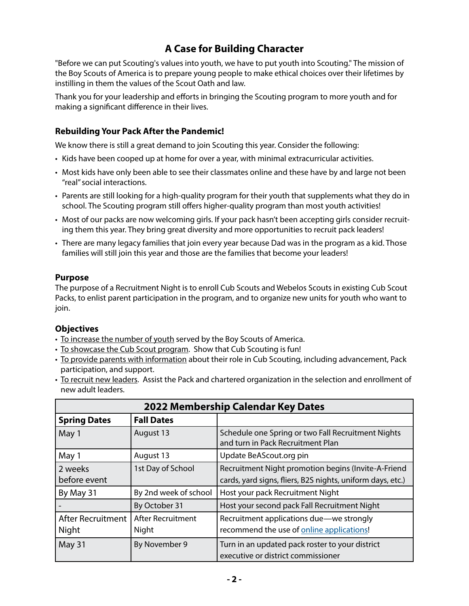## **A Case for Building Character**

"Before we can put Scouting's values into youth, we have to put youth into Scouting." The mission of the Boy Scouts of America is to prepare young people to make ethical choices over their lifetimes by instilling in them the values of the Scout Oath and law.

Thank you for your leadership and efforts in bringing the Scouting program to more youth and for making a significant difference in their lives.

#### **Rebuilding Your Pack After the Pandemic!**

We know there is still a great demand to join Scouting this year. Consider the following:

- Kids have been cooped up at home for over a year, with minimal extracurricular activities.
- Most kids have only been able to see their classmates online and these have by and large not been "real" social interactions.
- Parents are still looking for a high-quality program for their youth that supplements what they do in school. The Scouting program still offers higher-quality program than most youth activities!
- Most of our packs are now welcoming girls. If your pack hasn't been accepting girls consider recruiting them this year. They bring great diversity and more opportunities to recruit pack leaders!
- There are many legacy families that join every year because Dad was in the program as a kid. Those families will still join this year and those are the families that become your leaders!

#### **Purpose**

The purpose of a Recruitment Night is to enroll Cub Scouts and Webelos Scouts in existing Cub Scout Packs, to enlist parent participation in the program, and to organize new units for youth who want to join.

#### **Objectives**

- To increase the number of youth served by the Boy Scouts of America.
- To showcase the Cub Scout program. Show that Cub Scouting is fun!
- To provide parents with information about their role in Cub Scouting, including advancement, Pack participation, and support.
- To recruit new leaders. Assist the Pack and chartered organization in the selection and enrollment of new adult leaders.

| 2022 Membership Calendar Key Dates |                            |                                                                                                                   |  |  |  |
|------------------------------------|----------------------------|-------------------------------------------------------------------------------------------------------------------|--|--|--|
| <b>Spring Dates</b>                | <b>Fall Dates</b>          |                                                                                                                   |  |  |  |
| May 1                              | August 13                  | Schedule one Spring or two Fall Recruitment Nights<br>and turn in Pack Recruitment Plan                           |  |  |  |
| May 1                              | August 13                  | Update BeAScout.org pin                                                                                           |  |  |  |
| 2 weeks<br>before event            | 1st Day of School          | Recruitment Night promotion begins (Invite-A-Friend<br>cards, yard signs, fliers, B2S nights, uniform days, etc.) |  |  |  |
| By May 31                          | By 2nd week of school      | Host your pack Recruitment Night                                                                                  |  |  |  |
|                                    | By October 31              | Host your second pack Fall Recruitment Night                                                                      |  |  |  |
| After Recruitment<br>Night         | After Recruitment<br>Night | Recruitment applications due—we strongly<br>recommend the use of online applications!                             |  |  |  |
| May 31                             | By November 9              | Turn in an updated pack roster to your district<br>executive or district commissioner                             |  |  |  |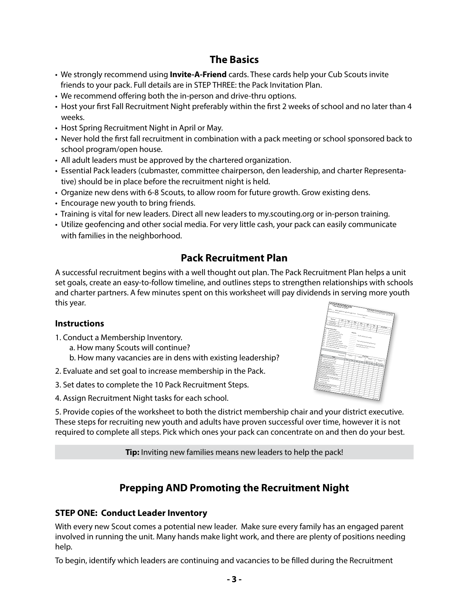## **The Basics**

- We strongly recommend using **Invite-A-Friend** cards. These cards help your Cub Scouts invite friends to your pack. Full details are in STEP THREE: the Pack Invitation Plan.
- We recommend offering both the in-person and drive-thru options.
- Host your first Fall Recruitment Night preferably within the first 2 weeks of school and no later than 4 weeks.
- Host Spring Recruitment Night in April or May.
- Never hold the first fall recruitment in combination with a pack meeting or school sponsored back to school program/open house.
- All adult leaders must be approved by the chartered organization.
- Essential Pack leaders (cubmaster, committee chairperson, den leadership, and charter Representative) should be in place before the recruitment night is held.
- Organize new dens with 6-8 Scouts, to allow room for future growth. Grow existing dens.
- Encourage new youth to bring friends.
- Training is vital for new leaders. Direct all new leaders to my.scouting.org or in-person training.
- Utilize geofencing and other social media. For very little cash, your pack can easily communicate with families in the neighborhood.

## **Pack Recruitment Plan**

A successful recruitment begins with a well thought out plan. The Pack Recruitment Plan helps a unit set goals, create an easy-to-follow timeline, and outlines steps to strengthen relationships with schools and charter partners. A few minutes spent on this worksheet will pay dividends in serving more youth this year.

#### **Instructions**

- 1. Conduct a Membership Inventory.
	- a. How many Scouts will continue?
	- b. How many vacancies are in dens with existing leadership?
- 2. Evaluate and set goal to increase membership in the Pack.
- 3. Set dates to complete the 10 Pack Recruitment Steps.
- 4. Assign Recruitment Night tasks for each school.



5. Provide copies of the worksheet to both the district membership chair and your district executive. These steps for recruiting new youth and adults have proven successful over time, however it is not required to complete all steps. Pick which ones your pack can concentrate on and then do your best.

**Tip:** Inviting new families means new leaders to help the pack!

## **Prepping AND Promoting the Recruitment Night**

#### **STEP ONE: Conduct Leader Inventory**

With every new Scout comes a potential new leader. Make sure every family has an engaged parent involved in running the unit. Many hands make light work, and there are plenty of positions needing help.

To begin, identify which leaders are continuing and vacancies to be filled during the Recruitment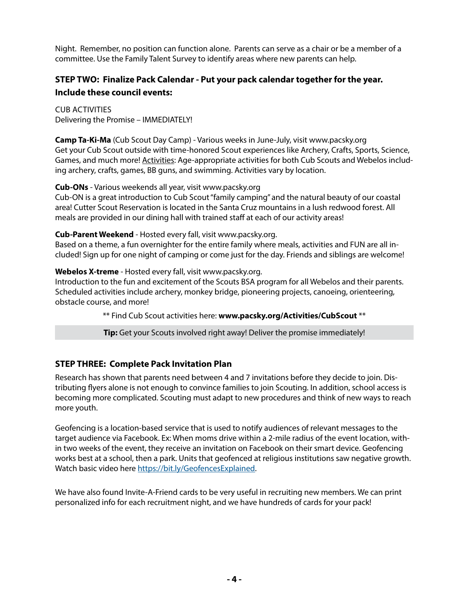Night. Remember, no position can function alone. Parents can serve as a chair or be a member of a committee. Use the Family Talent Survey to identify areas where new parents can help.

### **STEP TWO: Finalize Pack Calendar - Put your pack calendar together for the year. Include these council events:**

Cub Activities Delivering the Promise – IMMEDIATELY!

**Camp Ta-Ki-Ma** (Cub Scout Day Camp) - Various weeks in June-July, visit www.pacsky.org Get your Cub Scout outside with time-honored Scout experiences like Archery, Crafts, Sports, Science, Games, and much more! Activities: Age-appropriate activities for both Cub Scouts and Webelos including archery, crafts, games, BB guns, and swimming. Activities vary by location.

#### **Cub-ONs** - Various weekends all year, visit www.pacsky.org

Cub-ON is a great introduction to Cub Scout "family camping" and the natural beauty of our coastal area! Cutter Scout Reservation is located in the Santa Cruz mountains in a lush redwood forest. All meals are provided in our dining hall with trained staff at each of our activity areas!

#### **Cub-Parent Weekend** - Hosted every fall, visit www.pacsky.org.

Based on a theme, a fun overnighter for the entire family where meals, activities and FUN are all included! Sign up for one night of camping or come just for the day. Friends and siblings are welcome!

#### **Webelos X-treme** - Hosted every fall, visit www.pacsky.org.

Introduction to the fun and excitement of the Scouts BSA program for all Webelos and their parents. Scheduled activities include archery, monkey bridge, pioneering projects, canoeing, orienteering, obstacle course, and more!

\*\* Find Cub Scout activities here: **www.pacsky.org/Activities/CubScout** \*\*

**Tip:** Get your Scouts involved right away! Deliver the promise immediately!

#### **STEP THREE: Complete Pack Invitation Plan**

Research has shown that parents need between 4 and 7 invitations before they decide to join. Distributing flyers alone is not enough to convince families to join Scouting. In addition, school access is becoming more complicated. Scouting must adapt to new procedures and think of new ways to reach more youth.

Geofencing is a location-based service that is used to notify audiences of relevant messages to the target audience via Facebook. Ex: When moms drive within a 2-mile radius of the event location, within two weeks of the event, they receive an invitation on Facebook on their smart device. Geofencing works best at a school, then a park. Units that geofenced at religious institutions saw negative growth. Watch basic video here [https://bit.ly/GeofencesExplained.](https://bit.ly/GeofencesExplained)

We have also found Invite-A-Friend cards to be very useful in recruiting new members. We can print personalized info for each recruitment night, and we have hundreds of cards for your pack!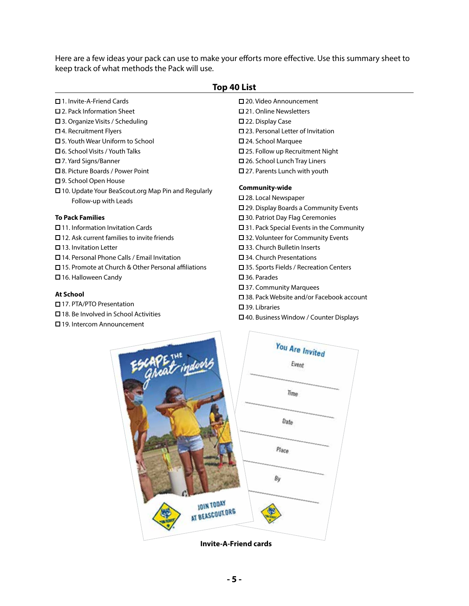Here are a few ideas your pack can use to make your efforts more effective. Use this summary sheet to keep track of what methods the Pack will use.

| Top 40 List                                               |                                                    |  |  |  |
|-----------------------------------------------------------|----------------------------------------------------|--|--|--|
| $\Box$ 1. Invite-A-Friend Cards                           | $\square$ 20. Video Announcement                   |  |  |  |
| $\square$ 2. Pack Information Sheet                       | $\square$ 21. Online Newsletters                   |  |  |  |
| □ 3. Organize Visits / Scheduling                         | $\square$ 22. Display Case                         |  |  |  |
| $\Box$ 4. Recruitment Flyers                              | $\square$ 23. Personal Letter of Invitation        |  |  |  |
| $\Box$ 5. Youth Wear Uniform to School                    | $\square$ 24. School Marquee                       |  |  |  |
| $\Box$ 6. School Visits / Youth Talks                     | $\square$ 25. Follow up Recruitment Night          |  |  |  |
| □ 7. Yard Signs/Banner                                    | □ 26. School Lunch Tray Liners                     |  |  |  |
| □ 8. Picture Boards / Power Point                         | $\square$ 27. Parents Lunch with youth             |  |  |  |
| □ 9. School Open House                                    |                                                    |  |  |  |
| $\Box$ 10. Update Your BeaScout.org Map Pin and Regularly | Community-wide                                     |  |  |  |
| Follow-up with Leads                                      | □ 28. Local Newspaper                              |  |  |  |
|                                                           | $\square$ 29. Display Boards a Community Events    |  |  |  |
| <b>To Pack Families</b>                                   | □ 30. Patriot Day Flag Ceremonies                  |  |  |  |
| $\Box$ 11. Information Invitation Cards                   | $\square$ 31. Pack Special Events in the Community |  |  |  |
| $\square$ 12. Ask current families to invite friends      | □ 32. Volunteer for Community Events               |  |  |  |
| $\Box$ 13. Invitation Letter                              | $\square$ 33. Church Bulletin Inserts              |  |  |  |
| □ 14. Personal Phone Calls / Email Invitation             | $\square$ 34. Church Presentations                 |  |  |  |
| □ 15. Promote at Church & Other Personal affiliations     | $\square$ 35. Sports Fields / Recreation Centers   |  |  |  |
| $\Box$ 16. Halloween Candy                                | $\square$ 36. Parades                              |  |  |  |
|                                                           | $\square$ 37. Community Marquees                   |  |  |  |
| <b>At School</b>                                          | □ 38. Pack Website and/or Facebook account         |  |  |  |
| □ 17. PTA/PTO Presentation                                | $\square$ 39. Libraries                            |  |  |  |
| $\Box$ 18. Be Involved in School Activities               | $\Box$ 40. Business Window / Counter Displays      |  |  |  |

You Are Invited Event

 $T_1$ <sub>me</sub>

Date

Place

By

19. Intercom Announcement



**JOIN TODAY** I BEASCOUT.ORG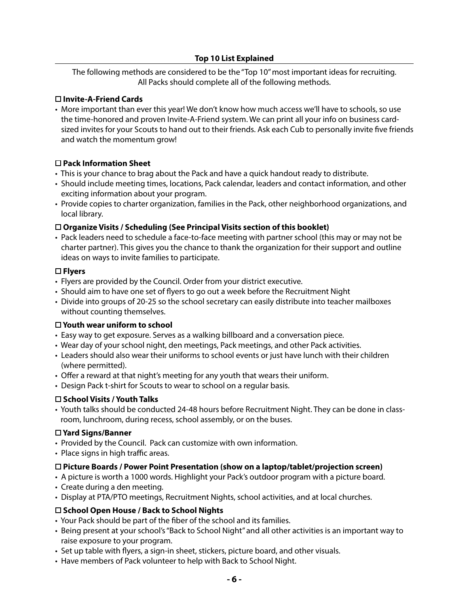#### **Top 10 List Explained**

The following methods are considered to be the "Top 10" most important ideas for recruiting. All Packs should complete all of the following methods.

#### **Invite-A-Friend Cards**

• More important than ever this year! We don't know how much access we'll have to schools, so use the time-honored and proven Invite-A-Friend system. We can print all your info on business cardsized invites for your Scouts to hand out to their friends. Ask each Cub to personally invite five friends and watch the momentum grow!

#### **Pack Information Sheet**

- This is your chance to brag about the Pack and have a quick handout ready to distribute.
- Should include meeting times, locations, Pack calendar, leaders and contact information, and other exciting information about your program.
- Provide copies to charter organization, families in the Pack, other neighborhood organizations, and local library.

#### **Organize Visits / Scheduling (See Principal Visits section of this booklet)**

• Pack leaders need to schedule a face-to-face meeting with partner school (this may or may not be charter partner). This gives you the chance to thank the organization for their support and outline ideas on ways to invite families to participate.

#### **Flyers**

- Flyers are provided by the Council. Order from your district executive.
- Should aim to have one set of flyers to go out a week before the Recruitment Night
- Divide into groups of 20-25 so the school secretary can easily distribute into teacher mailboxes without counting themselves.

#### **Youth wear uniform to school**

- Easy way to get exposure. Serves as a walking billboard and a conversation piece.
- Wear day of your school night, den meetings, Pack meetings, and other Pack activities.
- Leaders should also wear their uniforms to school events or just have lunch with their children (where permitted).
- Offer a reward at that night's meeting for any youth that wears their uniform.
- Design Pack t-shirt for Scouts to wear to school on a regular basis.

#### **School Visits / Youth Talks**

• Youth talks should be conducted 24-48 hours before Recruitment Night. They can be done in classroom, lunchroom, during recess, school assembly, or on the buses.

#### **Yard Signs/Banner**

- Provided by the Council. Pack can customize with own information.
- Place signs in high traffic areas.

#### **Picture Boards / Power Point Presentation (show on a laptop/tablet/projection screen)**

- A picture is worth a 1000 words. Highlight your Pack's outdoor program with a picture board.
- Create during a den meeting.
- Display at PTA/PTO meetings, Recruitment Nights, school activities, and at local churches.

#### **School Open House / Back to School Nights**

- Your Pack should be part of the fiber of the school and its families.
- Being present at your school's "Back to School Night" and all other activities is an important way to raise exposure to your program.
- Set up table with flyers, a sign-in sheet, stickers, picture board, and other visuals.
- Have members of Pack volunteer to help with Back to School Night.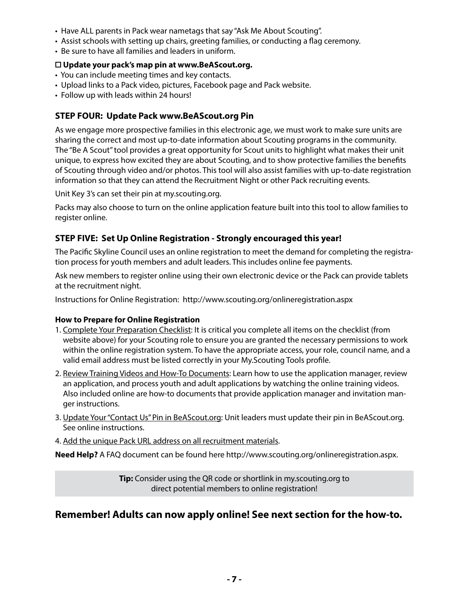- Have ALL parents in Pack wear nametags that say "Ask Me About Scouting".
- Assist schools with setting up chairs, greeting families, or conducting a flag ceremony.
- Be sure to have all families and leaders in uniform.

#### **Update your pack's map pin at www.BeAScout.org.**

- You can include meeting times and key contacts.
- Upload links to a Pack video, pictures, Facebook page and Pack website.
- Follow up with leads within 24 hours!

#### **STEP FOUR: Update Pack www.BeAScout.org Pin**

As we engage more prospective families in this electronic age, we must work to make sure units are sharing the correct and most up-to-date information about Scouting programs in the community. The "Be A Scout" tool provides a great opportunity for Scout units to highlight what makes their unit unique, to express how excited they are about Scouting, and to show protective families the benefits of Scouting through video and/or photos. This tool will also assist families with up-to-date registration information so that they can attend the Recruitment Night or other Pack recruiting events.

Unit Key 3's can set their pin at my.scouting.org.

Packs may also choose to turn on the online application feature built into this tool to allow families to register online.

#### **STEP FIVE: Set Up Online Registration - Strongly encouraged this year!**

The Pacific Skyline Council uses an online registration to meet the demand for completing the registration process for youth members and adult leaders. This includes online fee payments.

Ask new members to register online using their own electronic device or the Pack can provide tablets at the recruitment night.

Instructions for Online Registration: http://www.scouting.org/onlineregistration.aspx

#### **How to Prepare for Online Registration**

- 1. Complete Your Preparation Checklist: It is critical you complete all items on the checklist (from website above) for your Scouting role to ensure you are granted the necessary permissions to work within the online registration system. To have the appropriate access, your role, council name, and a valid email address must be listed correctly in your My.Scouting Tools profile.
- 2. Review Training Videos and How-To Documents: Learn how to use the application manager, review an application, and process youth and adult applications by watching the online training videos. Also included online are how-to documents that provide application manager and invitation manger instructions.
- 3. Update Your "Contact Us" Pin in BeAScout.org: Unit leaders must update their pin in BeAScout.org. See online instructions.
- 4. Add the unique Pack URL address on all recruitment materials.

**Need Help?** A FAQ document can be found here http://www.scouting.org/onlineregistration.aspx.

**Tip:** Consider using the QR code or shortlink in my.scouting.org to direct potential members to online registration!

#### **Remember! Adults can now apply online! See next section for the how-to.**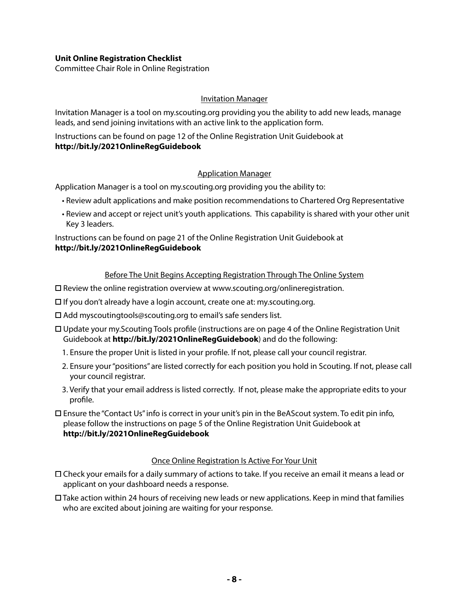#### **Unit Online Registration Checklist**

Committee Chair Role in Online Registration

#### Invitation Manager

Invitation Manager is a tool on my.scouting.org providing you the ability to add new leads, manage leads, and send joining invitations with an active link to the application form.

Instructions can be found on page 12 of the Online Registration Unit Guidebook at **http://bit.ly/2021OnlineRegGuidebook**

#### Application Manager

Application Manager is a tool on my.scouting.org providing you the ability to:

- Review adult applications and make position recommendations to Chartered Org Representative
- Review and accept or reject unit's youth applications. This capability is shared with your other unit Key 3 leaders.

Instructions can be found on page 21 of the Online Registration Unit Guidebook at **http://bit.ly/2021OnlineRegGuidebook**

#### Before The Unit Begins Accepting Registration Through The Online System

- $\square$  Review the online registration overview at www.scouting.org/onlineregistration.
- $\Box$  If you don't already have a login account, create one at: my.scouting.org.
- Add myscoutingtools@scouting.org to email's safe senders list.
- Update your my.Scouting Tools profile (instructions are on page 4 of the Online Registration Unit Guidebook at **http://bit.ly/2021OnlineRegGuidebook**) and do the following:
	- 1. Ensure the proper Unit is listed in your profile. If not, please call your council registrar.
	- 2. Ensure your "positions" are listed correctly for each position you hold in Scouting. If not, please call your council registrar.
	- 3. Verify that your email address is listed correctly. If not, please make the appropriate edits to your profile.
- Ensure the "Contact Us" info is correct in your unit's pin in the BeAScout system. To edit pin info, please follow the instructions on page 5 of the Online Registration Unit Guidebook at **http://bit.ly/2021OnlineRegGuidebook**

#### Once Online Registration Is Active For Your Unit

- Check your emails for a daily summary of actions to take. If you receive an email it means a lead or applicant on your dashboard needs a response.
- $\Box$  Take action within 24 hours of receiving new leads or new applications. Keep in mind that families who are excited about joining are waiting for your response.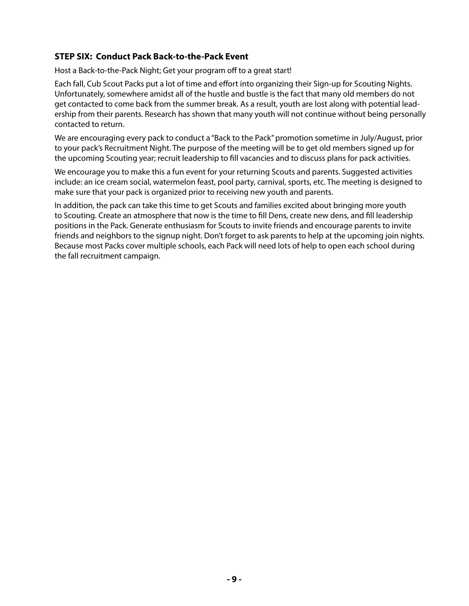#### **STEP SIX: Conduct Pack Back-to-the-Pack Event**

Host a Back-to-the-Pack Night; Get your program off to a great start!

Each fall, Cub Scout Packs put a lot of time and effort into organizing their Sign-up for Scouting Nights. Unfortunately, somewhere amidst all of the hustle and bustle is the fact that many old members do not get contacted to come back from the summer break. As a result, youth are lost along with potential leadership from their parents. Research has shown that many youth will not continue without being personally contacted to return.

We are encouraging every pack to conduct a "Back to the Pack" promotion sometime in July/August, prior to your pack's Recruitment Night. The purpose of the meeting will be to get old members signed up for the upcoming Scouting year; recruit leadership to fill vacancies and to discuss plans for pack activities.

We encourage you to make this a fun event for your returning Scouts and parents. Suggested activities include: an ice cream social, watermelon feast, pool party, carnival, sports, etc. The meeting is designed to make sure that your pack is organized prior to receiving new youth and parents.

In addition, the pack can take this time to get Scouts and families excited about bringing more youth to Scouting. Create an atmosphere that now is the time to fill Dens, create new dens, and fill leadership positions in the Pack. Generate enthusiasm for Scouts to invite friends and encourage parents to invite friends and neighbors to the signup night. Don't forget to ask parents to help at the upcoming join nights. Because most Packs cover multiple schools, each Pack will need lots of help to open each school during the fall recruitment campaign.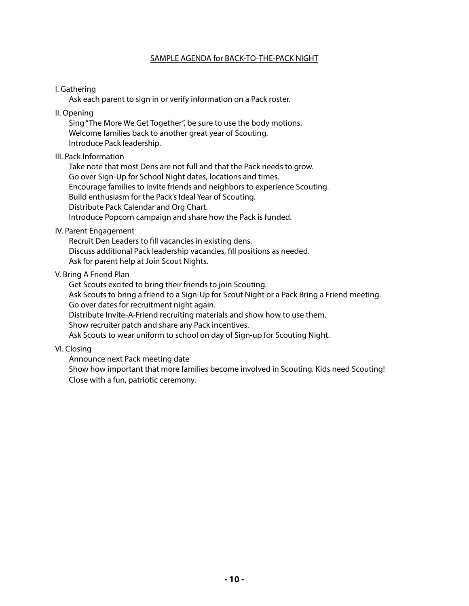#### SAMPLE AGENDA for BACK-TO-THE-PACK NIGHT

#### I. Gathering

Ask each parent to sign in or verify information on a Pack roster.

II. Opening

Sing "The More We Get Together", be sure to use the body motions. Welcome families back to another great year of Scouting. Introduce Pack leadership.

#### III. Pack Information

Take note that most Dens are not full and that the Pack needs to grow. Go over Sign-Up for School Night dates, locations and times. Encourage families to invite friends and neighbors to experience Scouting. Build enthusiasm for the Pack's Ideal Year of Scouting. Distribute Pack Calendar and Org Chart. Introduce Popcorn campaign and share how the Pack is funded.

#### IV. Parent Engagement

Recruit Den Leaders to fill vacancies in existing dens. Discuss additional Pack leadership vacancies, fill positions as needed. Ask for parent help at Join Scout Nights.

#### V. Bring A Friend Plan

Get Scouts excited to bring their friends to join Scouting. Ask Scouts to bring a friend to a Sign-Up for Scout Night or a Pack Bring a Friend meeting. Go over dates for recruitment night again. Distribute Invite-A-Friend recruiting materials and show how to use them. Show recruiter patch and share any Pack incentives.

Ask Scouts to wear uniform to school on day of Sign-up for Scouting Night.

VI. Closing

Announce next Pack meeting date Show how important that more families become involved in Scouting. Kids need Scouting! Close with a fun, patriotic ceremony.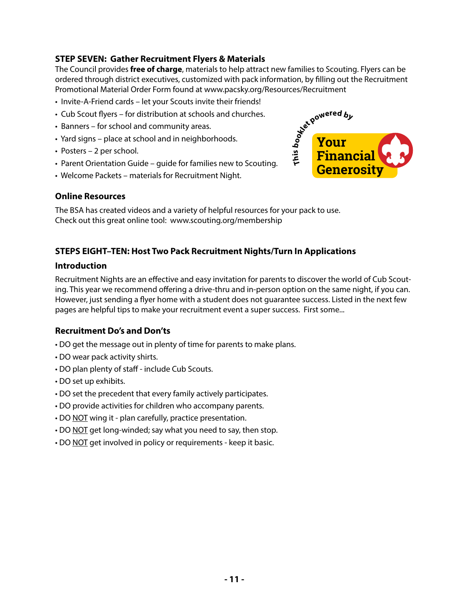#### **STEP SEVEN: Gather Recruitment Flyers & Materials**

The Council provides **free of charge**, materials to help attract new families to Scouting. Flyers can be ordered through district executives, customized with pack information, by filling out the Recruitment Promotional Material Order Form found at www.pacsky.org/Resources/Recruitment

- Invite-A-Friend cards let your Scouts invite their friends!
- Cub Scout flyers for distribution at schools and churches.
- Banners for school and community areas.
- Yard signs place at school and in neighborhoods.
- Posters 2 per school.
- Parent Orientation Guide guide for families new to Scouting.
- Welcome Packets materials for Recruitment Night.



#### **Online Resources**

The BSA has created videos and a variety of helpful resources for your pack to use. Check out this great online tool: www.scouting.org/membership

#### **STEPS EIGHT–TEN: Host Two Pack Recruitment Nights/Turn In Applications**

#### **Introduction**

Recruitment Nights are an effective and easy invitation for parents to discover the world of Cub Scouting. This year we recommend offering a drive-thru and in-person option on the same night, if you can. However, just sending a flyer home with a student does not guarantee success. Listed in the next few pages are helpful tips to make your recruitment event a super success. First some...

#### **Recruitment Do's and Don'ts**

- DO get the message out in plenty of time for parents to make plans.
- DO wear pack activity shirts.
- DO plan plenty of staff include Cub Scouts.
- DO set up exhibits.
- DO set the precedent that every family actively participates.
- DO provide activities for children who accompany parents.
- DO NOT wing it plan carefully, practice presentation.
- DO NOT get long-winded; say what you need to say, then stop.
- DO NOT get involved in policy or requirements keep it basic.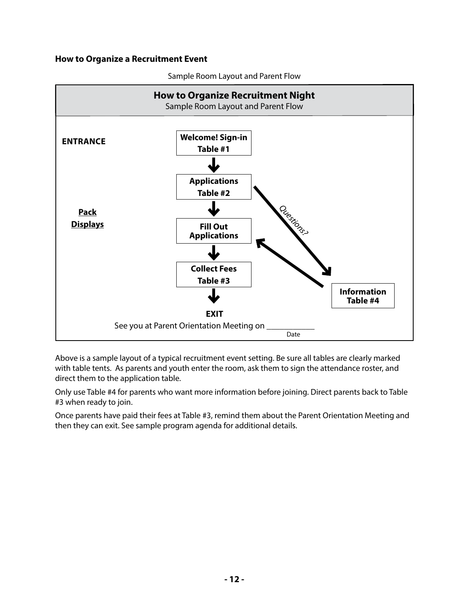#### **How to Organize a Recruitment Event**



Sample Room Layout and Parent Flow

Above is a sample layout of a typical recruitment event setting. Be sure all tables are clearly marked with table tents. As parents and youth enter the room, ask them to sign the attendance roster, and direct them to the application table.

Only use Table #4 for parents who want more information before joining. Direct parents back to Table #3 when ready to join.

Once parents have paid their fees at Table #3, remind them about the Parent Orientation Meeting and then they can exit. See sample program agenda for additional details.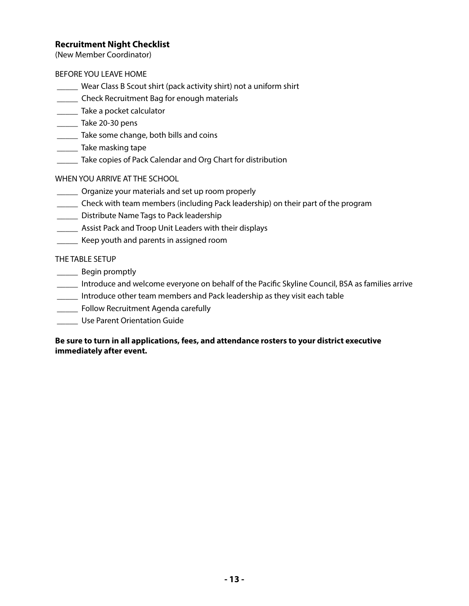#### **Recruitment Night Checklist**

(New Member Coordinator)

#### BEFORE YOU LEAVE HOME

- \_\_\_\_\_ Wear Class B Scout shirt (pack activity shirt) not a uniform shirt
- \_\_\_\_\_ Check Recruitment Bag for enough materials
- \_\_\_\_\_\_ Take a pocket calculator
- \_\_\_\_\_ Take 20-30 pens
- **Take some change, both bills and coins**
- \_\_\_\_\_ Take masking tape
- \_\_\_\_\_ Take copies of Pack Calendar and Org Chart for distribution

#### WHEN YOU ARRIVE AT THE SCHOOL

- \_\_\_\_\_ Organize your materials and set up room properly
- \_\_\_\_\_ Check with team members (including Pack leadership) on their part of the program
- **\_\_\_\_\_\_** Distribute Name Tags to Pack leadership
- **\_\_\_\_\_\_** Assist Pack and Troop Unit Leaders with their displays
- \_\_\_\_\_ Keep youth and parents in assigned room

#### THE TABLE SETUP

- \_\_\_\_\_ Begin promptly
- \_\_\_\_\_ Introduce and welcome everyone on behalf of the Pacific Skyline Council, BSA as families arrive
- \_\_\_\_\_ Introduce other team members and Pack leadership as they visit each table
- **\_\_\_\_\_\_** Follow Recruitment Agenda carefully
- \_\_\_\_\_ Use Parent Orientation Guide

#### **Be sure to turn in all applications, fees, and attendance rosters to your district executive immediately after event.**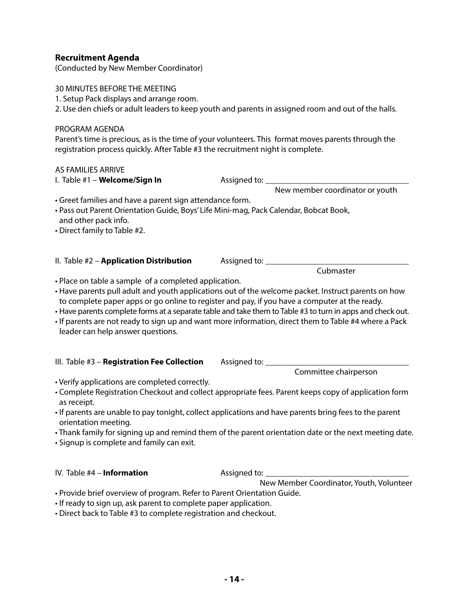#### **Recruitment Agenda**

(Conducted by New Member Coordinator)

30 MINUTES BEFORE THE MEETING

1. Setup Pack displays and arrange room.

2. Use den chiefs or adult leaders to keep youth and parents in assigned room and out of the halls.

PROGRAM AGENDA

Parent's time is precious, as is the time of your volunteers. This format moves parents through the registration process quickly. After Table #3 the recruitment night is complete.

#### AS FAMILIES ARRIVE

#### I. Table #1 – **Welcome/Sign In** Assigned to: \_\_\_\_\_\_\_\_\_\_\_\_\_\_\_\_\_\_\_\_\_\_\_\_\_\_\_\_\_\_\_\_\_\_

New member coordinator or youth

• Greet families and have a parent sign attendance form.

#### • Pass out Parent Orientation Guide, Boys' Life Mini-mag, Pack Calendar, Bobcat Book, and other pack info.

- Direct family to Table #2.
- II. Table #2 **Application Distribution** Assigned to: \_\_\_\_\_\_\_\_\_\_\_\_\_\_\_\_\_\_\_\_\_\_\_\_\_\_\_ Cubmaster
- Place on table a sample of a completed application.
- Have parents pull adult and youth applications out of the welcome packet. Instruct parents on how to complete paper apps or go online to register and pay, if you have a computer at the ready.
- Have parents complete forms at a separate table and take them to Table #3 to turn in apps and check out.
- If parents are not ready to sign up and want more information, direct them to Table #4 where a Pack leader can help answer questions.
- III. Table #3 Registration Fee Collection Assigned to: \_\_\_\_\_\_\_\_

Committee chairperson

- Verify applications are completed correctly.
- Complete Registration Checkout and collect appropriate fees. Parent keeps copy of application form as receipt.
- If parents are unable to pay tonight, collect applications and have parents bring fees to the parent orientation meeting.
- Thank family for signing up and remind them of the parent orientation date or the next meeting date.
- Signup is complete and family can exit.

IV. Table #4 – **Information** Assigned to:

New Member Coordinator, Youth, Volunteer

- Provide brief overview of program. Refer to Parent Orientation Guide.
- If ready to sign up, ask parent to complete paper application.
- Direct back to Table #3 to complete registration and checkout.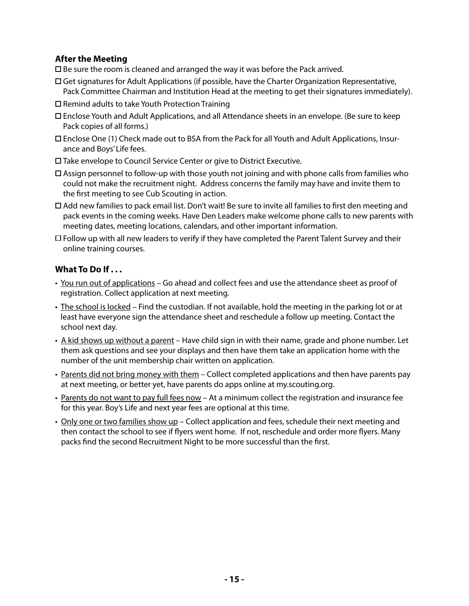#### **After the Meeting**

 $\square$  Be sure the room is cleaned and arranged the way it was before the Pack arrived.

- Get signatures for Adult Applications (if possible, have the Charter Organization Representative, Pack Committee Chairman and Institution Head at the meeting to get their signatures immediately).
- $\square$  Remind adults to take Youth Protection Training
- Enclose Youth and Adult Applications, and all Attendance sheets in an envelope. (Be sure to keep Pack copies of all forms.)
- Enclose One (1) Check made out to BSA from the Pack for all Youth and Adult Applications, Insurance and Boys' Life fees.
- Take envelope to Council Service Center or give to District Executive.
- $\Box$  Assign personnel to follow-up with those youth not joining and with phone calls from families who could not make the recruitment night. Address concerns the family may have and invite them to the first meeting to see Cub Scouting in action.
- Add new families to pack email list. Don't wait! Be sure to invite all families to first den meeting and pack events in the coming weeks. Have Den Leaders make welcome phone calls to new parents with meeting dates, meeting locations, calendars, and other important information.
- $\Box$  Follow up with all new leaders to verify if they have completed the Parent Talent Survey and their online training courses.

#### **What To Do If . . .**

- You run out of applications Go ahead and collect fees and use the attendance sheet as proof of registration. Collect application at next meeting.
- The school is locked Find the custodian. If not available, hold the meeting in the parking lot or at least have everyone sign the attendance sheet and reschedule a follow up meeting. Contact the school next day.
- A kid shows up without a parent Have child sign in with their name, grade and phone number. Let them ask questions and see your displays and then have them take an application home with the number of the unit membership chair written on application.
- Parents did not bring money with them Collect completed applications and then have parents pay at next meeting, or better yet, have parents do apps online at my.scouting.org.
- Parents do not want to pay full fees now At a minimum collect the registration and insurance fee for this year. Boy's Life and next year fees are optional at this time.
- Only one or two families show up Collect application and fees, schedule their next meeting and then contact the school to see if flyers went home. If not, reschedule and order more flyers. Many packs find the second Recruitment Night to be more successful than the first.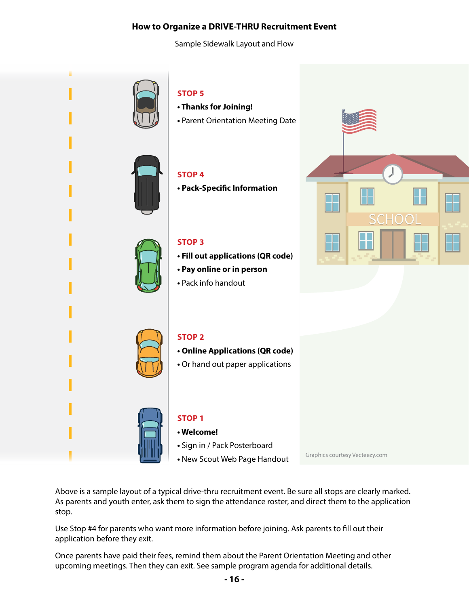#### **How to Organize a DRIVE-THRU Recruitment Event**

Sample Sidewalk Layout and Flow



Above is a sample layout of a typical drive-thru recruitment event. Be sure all stops are clearly marked. As parents and youth enter, ask them to sign the attendance roster, and direct them to the application stop.

Use Stop #4 for parents who want more information before joining. Ask parents to fill out their application before they exit.

Once parents have paid their fees, remind them about the Parent Orientation Meeting and other upcoming meetings. Then they can exit. See sample program agenda for additional details.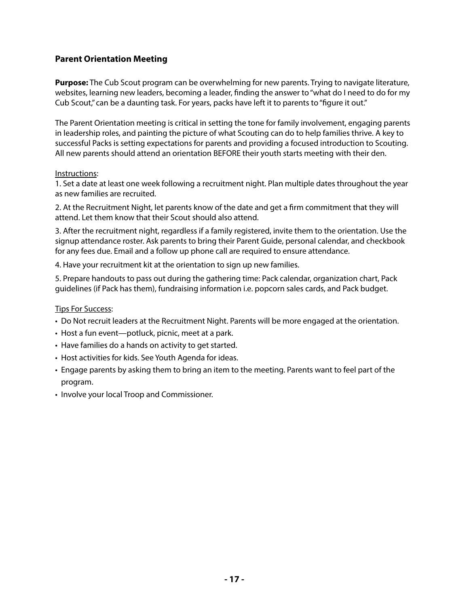#### **Parent Orientation Meeting**

**Purpose:** The Cub Scout program can be overwhelming for new parents. Trying to navigate literature, websites, learning new leaders, becoming a leader, finding the answer to "what do I need to do for my Cub Scout," can be a daunting task. For years, packs have left it to parents to "figure it out."

The Parent Orientation meeting is critical in setting the tone for family involvement, engaging parents in leadership roles, and painting the picture of what Scouting can do to help families thrive. A key to successful Packs is setting expectations for parents and providing a focused introduction to Scouting. All new parents should attend an orientation BEFORE their youth starts meeting with their den.

#### Instructions:

1. Set a date at least one week following a recruitment night. Plan multiple dates throughout the year as new families are recruited.

2. At the Recruitment Night, let parents know of the date and get a firm commitment that they will attend. Let them know that their Scout should also attend.

3. After the recruitment night, regardless if a family registered, invite them to the orientation. Use the signup attendance roster. Ask parents to bring their Parent Guide, personal calendar, and checkbook for any fees due. Email and a follow up phone call are required to ensure attendance.

4. Have your recruitment kit at the orientation to sign up new families.

5. Prepare handouts to pass out during the gathering time: Pack calendar, organization chart, Pack guidelines (if Pack has them), fundraising information i.e. popcorn sales cards, and Pack budget.

#### Tips For Success:

- Do Not recruit leaders at the Recruitment Night. Parents will be more engaged at the orientation.
- Host a fun event—potluck, picnic, meet at a park.
- Have families do a hands on activity to get started.
- Host activities for kids. See Youth Agenda for ideas.
- Engage parents by asking them to bring an item to the meeting. Parents want to feel part of the program.
- Involve your local Troop and Commissioner.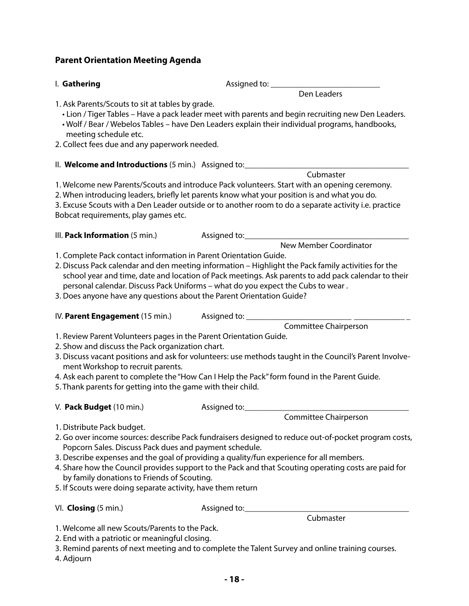| I. Gathering                                                                                                                                                                                                                | Assigned to: _______________                                                                                                                                                                                                                                                                                                      |
|-----------------------------------------------------------------------------------------------------------------------------------------------------------------------------------------------------------------------------|-----------------------------------------------------------------------------------------------------------------------------------------------------------------------------------------------------------------------------------------------------------------------------------------------------------------------------------|
|                                                                                                                                                                                                                             | Den Leaders                                                                                                                                                                                                                                                                                                                       |
| 1. Ask Parents/Scouts to sit at tables by grade.<br>meeting schedule etc.<br>2. Collect fees due and any paperwork needed.                                                                                                  | • Lion / Tiger Tables – Have a pack leader meet with parents and begin recruiting new Den Leaders.<br>. Wolf / Bear / Webelos Tables - have Den Leaders explain their individual programs, handbooks,                                                                                                                             |
|                                                                                                                                                                                                                             | II. Welcome and Introductions (5 min.) Assigned to: ____________________________                                                                                                                                                                                                                                                  |
| Bobcat requirements, play games etc.                                                                                                                                                                                        | Cubmaster<br>1. Welcome new Parents/Scouts and introduce Pack volunteers. Start with an opening ceremony.<br>2. When introducing leaders, briefly let parents know what your position is and what you do.<br>3. Excuse Scouts with a Den Leader outside or to another room to do a separate activity i.e. practice                |
| III. Pack Information (5 min.)                                                                                                                                                                                              | <b>New Member Coordinator</b>                                                                                                                                                                                                                                                                                                     |
| 1. Complete Pack contact information in Parent Orientation Guide.<br>3. Does anyone have any questions about the Parent Orientation Guide?                                                                                  | 2. Discuss Pack calendar and den meeting information - Highlight the Pack family activities for the<br>school year and time, date and location of Pack meetings. Ask parents to add pack calendar to their<br>personal calendar. Discuss Pack Uniforms - what do you expect the Cubs to wear.                                     |
|                                                                                                                                                                                                                             | Committee Chairperson                                                                                                                                                                                                                                                                                                             |
| 1. Review Parent Volunteers pages in the Parent Orientation Guide.<br>2. Show and discuss the Pack organization chart.<br>ment Workshop to recruit parents.<br>5. Thank parents for getting into the game with their child. | 3. Discuss vacant positions and ask for volunteers: use methods taught in the Council's Parent Involve-<br>4. Ask each parent to complete the "How Can I Help the Pack" form found in the Parent Guide.                                                                                                                           |
| V. Pack Budget (10 min.)                                                                                                                                                                                                    |                                                                                                                                                                                                                                                                                                                                   |
| 1. Distribute Pack budget.<br>Popcorn Sales. Discuss Pack dues and payment schedule.<br>by family donations to Friends of Scouting.<br>5. If Scouts were doing separate activity, have them return                          | Committee Chairperson<br>2. Go over income sources: describe Pack fundraisers designed to reduce out-of-pocket program costs,<br>3. Describe expenses and the goal of providing a quality/fun experience for all members.<br>4. Share how the Council provides support to the Pack and that Scouting operating costs are paid for |
| VI. Closing (5 min.)                                                                                                                                                                                                        | Assigned to:________________                                                                                                                                                                                                                                                                                                      |
|                                                                                                                                                                                                                             | Cubmaster                                                                                                                                                                                                                                                                                                                         |
| 1. Welcome all new Scouts/Parents to the Pack.<br>2. End with a patriotic or meaningful closing.<br>$\Lambda$ $\Lambda$ diourn                                                                                              | 3. Remind parents of next meeting and to complete the Talent Survey and online training courses.                                                                                                                                                                                                                                  |